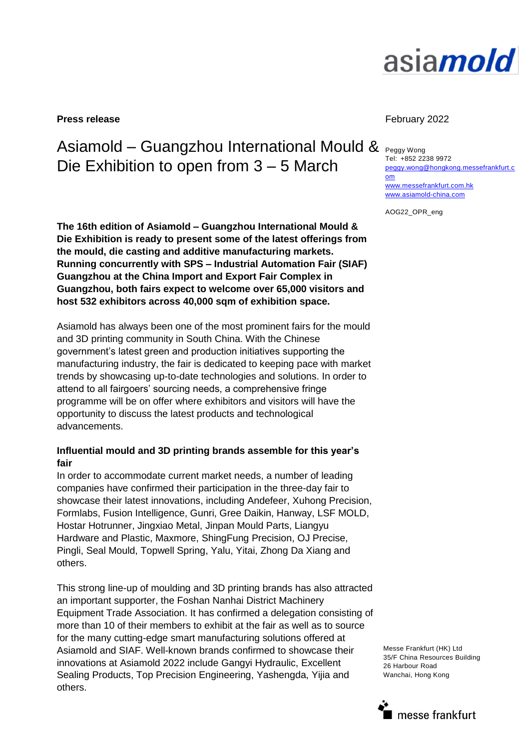

**Press release** February 2022

# Asiamold – Guangzhou International Mould & Peggy Wong Die Exhibition to open from 3 – 5 March

**The 16th edition of Asiamold – Guangzhou International Mould & Die Exhibition is ready to present some of the latest offerings from the mould, die casting and additive manufacturing markets. Running concurrently with SPS – Industrial Automation Fair (SIAF) Guangzhou at the China Import and Export Fair Complex in Guangzhou, both fairs expect to welcome over 65,000 visitors and host 532 exhibitors across 40,000 sqm of exhibition space.**

Asiamold has always been one of the most prominent fairs for the mould and 3D printing community in South China. With the Chinese government's latest green and production initiatives supporting the manufacturing industry, the fair is dedicated to keeping pace with market trends by showcasing up-to-date technologies and solutions. In order to attend to all fairgoers' sourcing needs, a comprehensive fringe programme will be on offer where exhibitors and visitors will have the opportunity to discuss the latest products and technological advancements.

#### **Influential mould and 3D printing brands assemble for this year's fair**

In order to accommodate current market needs, a number of leading companies have confirmed their participation in the three-day fair to showcase their latest innovations, including Andefeer, Xuhong Precision, Formlabs, Fusion Intelligence, Gunri, Gree Daikin, Hanway, LSF MOLD, Hostar Hotrunner, Jingxiao Metal, Jinpan Mould Parts, Liangyu Hardware and Plastic, Maxmore, ShingFung Precision, OJ Precise, Pingli, Seal Mould, Topwell Spring, Yalu, Yitai, Zhong Da Xiang and others.

This strong line-up of moulding and 3D printing brands has also attracted an important supporter, the Foshan Nanhai District Machinery Equipment Trade Association. It has confirmed a delegation consisting of more than 10 of their members to exhibit at the fair as well as to source for the many cutting-edge smart manufacturing solutions offered at Asiamold and SIAF. Well-known brands confirmed to showcase their innovations at Asiamold 2022 include Gangyi Hydraulic, Excellent Sealing Products, Top Precision Engineering, Yashengda, Yijia and others.

Tel: +852 2238 9972 [peggy.wong@hongkong.messefrankfurt.c](mailto:peggy.wong@hongkong.messefrankfurt.com) [om](mailto:peggy.wong@hongkong.messefrankfurt.com)  [www.messefrankfurt.com.hk](http://www.messefrankfurt.com.hk/) [www.asiamold-china.com](http://www.asiamold-china.com/)

AOG22\_OPR\_eng

Messe Frankfurt (HK) Ltd 35/F China Resources Building 26 Harbour Road Wanchai, Hong Kong

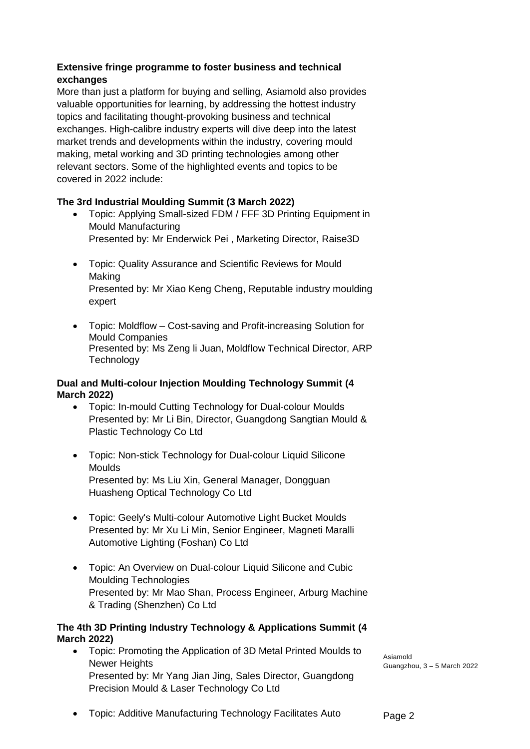### **Extensive fringe programme to foster business and technical exchanges**

More than just a platform for buying and selling, Asiamold also provides valuable opportunities for learning, by addressing the hottest industry topics and facilitating thought-provoking business and technical exchanges. High-calibre industry experts will dive deep into the latest market trends and developments within the industry, covering mould making, metal working and 3D printing technologies among other relevant sectors. Some of the highlighted events and topics to be covered in 2022 include:

## **The 3rd Industrial Moulding Summit (3 March 2022)**

- Topic: Applying Small-sized FDM / FFF 3D Printing Equipment in Mould Manufacturing Presented by: Mr Enderwick Pei , Marketing Director, Raise3D
- Topic: Quality Assurance and Scientific Reviews for Mould Making Presented by: Mr Xiao Keng Cheng, Reputable industry moulding expert
- Topic: Moldflow Cost-saving and Profit-increasing Solution for Mould Companies Presented by: Ms Zeng li Juan, Moldflow Technical Director, ARP **Technology**

#### **Dual and Multi-colour Injection Moulding Technology Summit (4 March 2022)**

- Topic: In-mould Cutting Technology for Dual-colour Moulds Presented by: Mr Li Bin, Director, Guangdong Sangtian Mould & Plastic Technology Co Ltd
- Topic: Non-stick Technology for Dual-colour Liquid Silicone Moulds Presented by: Ms Liu Xin, General Manager, Dongguan Huasheng Optical Technology Co Ltd
- Topic: Geely's Multi-colour Automotive Light Bucket Moulds Presented by: Mr Xu Li Min, Senior Engineer, Magneti Maralli Automotive Lighting (Foshan) Co Ltd
- Topic: An Overview on Dual-colour Liquid Silicone and Cubic Moulding Technologies Presented by: Mr Mao Shan, Process Engineer, Arburg Machine & Trading (Shenzhen) Co Ltd

#### **The 4th 3D Printing Industry Technology & Applications Summit (4 March 2022)**

 Topic: Promoting the Application of 3D Metal Printed Moulds to Newer Heights Presented by: Mr Yang Jian Jing, Sales Director, Guangdong Precision Mould & Laser Technology Co Ltd

Asiamold Guangzhou, 3 – 5 March 2022

Topic: Additive Manufacturing Technology Facilitates Auto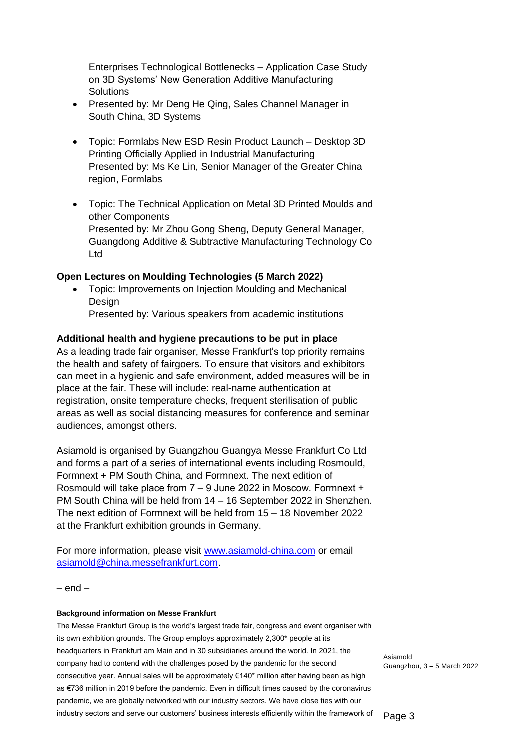Enterprises Technological Bottlenecks – Application Case Study on 3D Systems' New Generation Additive Manufacturing **Solutions** 

- Presented by: Mr Deng He Qing, Sales Channel Manager in South China, 3D Systems
- Topic: Formlabs New ESD Resin Product Launch Desktop 3D Printing Officially Applied in Industrial Manufacturing Presented by: Ms Ke Lin, Senior Manager of the Greater China region, Formlabs
- Topic: The Technical Application on Metal 3D Printed Moulds and other Components Presented by: Mr Zhou Gong Sheng, Deputy General Manager, Guangdong Additive & Subtractive Manufacturing Technology Co Ltd

#### **Open Lectures on Moulding Technologies (5 March 2022)**

 Topic: Improvements on Injection Moulding and Mechanical Design

Presented by: Various speakers from academic institutions

#### **Additional health and hygiene precautions to be put in place**

As a leading trade fair organiser, Messe Frankfurt's top priority remains the health and safety of fairgoers. To ensure that visitors and exhibitors can meet in a hygienic and safe environment, added measures will be in place at the fair. These will include: real-name authentication at registration, onsite temperature checks, frequent sterilisation of public areas as well as social distancing measures for conference and seminar audiences, amongst others.

Asiamold is organised by Guangzhou Guangya Messe Frankfurt Co Ltd and forms a part of a series of international events including Rosmould, Formnext + PM South China, and Formnext. The next edition of Rosmould will take place from 7 – 9 June 2022 in Moscow. Formnext + PM South China will be held from 14 – 16 September 2022 in Shenzhen. The next edition of Formnext will be held from 15 – 18 November 2022 at the Frankfurt exhibition grounds in Germany.

For more information, please visit [www.asiamold-china.com](http://www.asiamold-china.com/) or email [asiamold@china.messefrankfurt.com.](mailto:asiamold@china.messefrankfurt.com)

 $-$  end  $-$ 

#### **Background information on Messe Frankfurt**

The Messe Frankfurt Group is the world's largest trade fair, congress and event organiser with its own exhibition grounds. The Group employs approximately 2,300\* people at its headquarters in Frankfurt am Main and in 30 subsidiaries around the world. In 2021, the company had to contend with the challenges posed by the pandemic for the second consecutive year. Annual sales will be approximately €140\* million after having been as high as €736 million in 2019 before the pandemic. Even in difficult times caused by the coronavirus pandemic, we are globally networked with our industry sectors. We have close ties with our industry sectors and serve our customers' business interests efficiently within the framework of

Asiamold Guangzhou, 3 – 5 March 2022